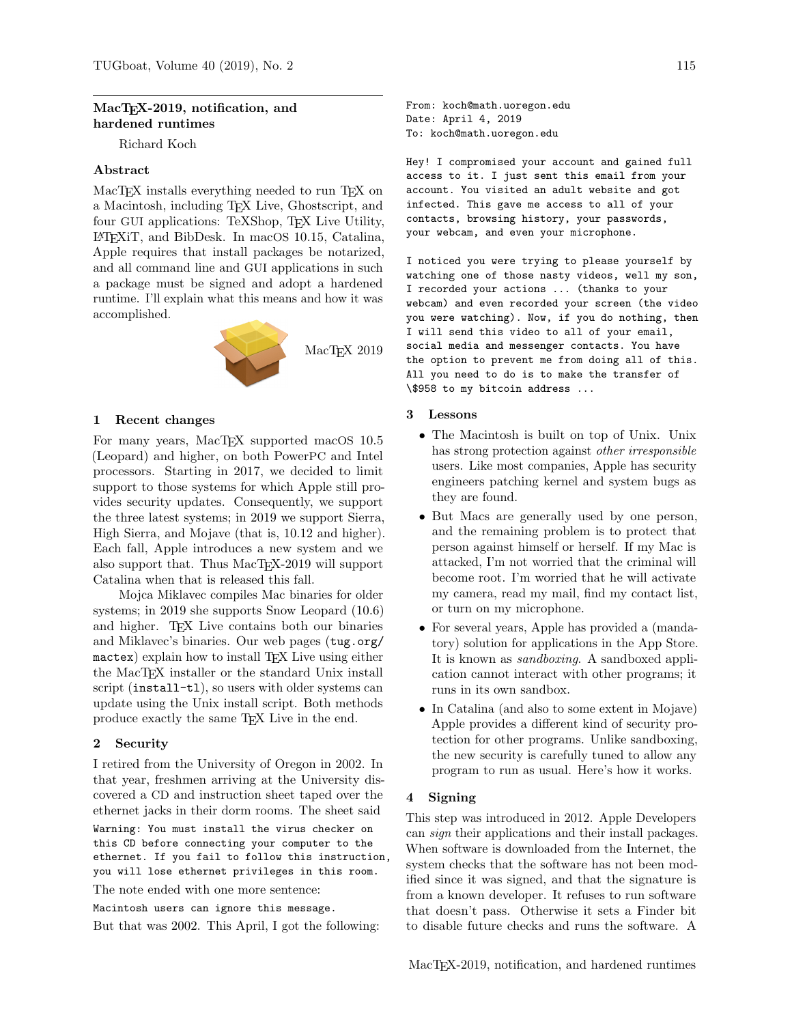## MacT<sub>E</sub>X-2019, notification, and hardened runtimes

Richard Koch

## Abstract

MacTEX installs everything needed to run TEX on a Macintosh, including TEX Live, Ghostscript, and four GUI applications: TeXShop, T<sub>FX</sub> Live Utility, LATEXiT, and BibDesk. In macOS 10.15, Catalina, Apple requires that install packages be notarized, and all command line and GUI applications in such a package must be signed and adopt a hardened runtime. I'll explain what this means and how it was accomplished.



## 1 Recent changes

For many years, MacTEX supported macOS  $10.5$ (Leopard) and higher, on both PowerPC and Intel processors. Starting in 2017, we decided to limit support to those systems for which Apple still provides security updates. Consequently, we support the three latest systems; in 2019 we support Sierra, High Sierra, and Mojave (that is, 10.12 and higher). Each fall, Apple introduces a new system and we also support that. Thus MacT<sub>E</sub>X-2019 will support Catalina when that is released this fall.

Mojca Miklavec compiles Mac binaries for older systems; in 2019 she supports Snow Leopard (10.6) and higher. TEX Live contains both our binaries and Miklavec's binaries. Our web pages ([tug.org/](tug.org/mactex) [mactex](tug.org/mactex)) explain how to install TFX Live using either the MacTEX installer or the standard Unix install script (install-tl), so users with older systems can update using the Unix install script. Both methods produce exactly the same TEX Live in the end.

#### 2 Security

I retired from the University of Oregon in 2002. In that year, freshmen arriving at the University discovered a CD and instruction sheet taped over the ethernet jacks in their dorm rooms. The sheet said Warning: You must install the virus checker on this CD before connecting your computer to the ethernet. If you fail to follow this instruction, you will lose ethernet privileges in this room.

The note ended with one more sentence:

Macintosh users can ignore this message.

But that was 2002. This April, I got the following:

From: koch@math.uoregon.edu Date: April 4, 2019 To: koch@math.uoregon.edu

Hey! I compromised your account and gained full access to it. I just sent this email from your account. You visited an adult website and got infected. This gave me access to all of your contacts, browsing history, your passwords, your webcam, and even your microphone.

I noticed you were trying to please yourself by watching one of those nasty videos, well my son, I recorded your actions ... (thanks to your webcam) and even recorded your screen (the video you were watching). Now, if you do nothing, then I will send this video to all of your email, social media and messenger contacts. You have the option to prevent me from doing all of this. All you need to do is to make the transfer of \\$958 to my bitcoin address ...

#### 3 Lessons

- The Macintosh is built on top of Unix. Unix has strong protection against other irresponsible users. Like most companies, Apple has security engineers patching kernel and system bugs as they are found.
- But Macs are generally used by one person, and the remaining problem is to protect that person against himself or herself. If my Mac is attacked, I'm not worried that the criminal will become root. I'm worried that he will activate my camera, read my mail, find my contact list, or turn on my microphone.
- For several years, Apple has provided a (mandatory) solution for applications in the App Store. It is known as *sandboxing*. A sandboxed application cannot interact with other programs; it runs in its own sandbox.
- In Catalina (and also to some extent in Mojave) Apple provides a different kind of security protection for other programs. Unlike sandboxing, the new security is carefully tuned to allow any program to run as usual. Here's how it works.

## 4 Signing

This step was introduced in 2012. Apple Developers can sign their applications and their install packages. When software is downloaded from the Internet, the system checks that the software has not been modified since it was signed, and that the signature is from a known developer. It refuses to run software that doesn't pass. Otherwise it sets a Finder bit to disable future checks and runs the software. A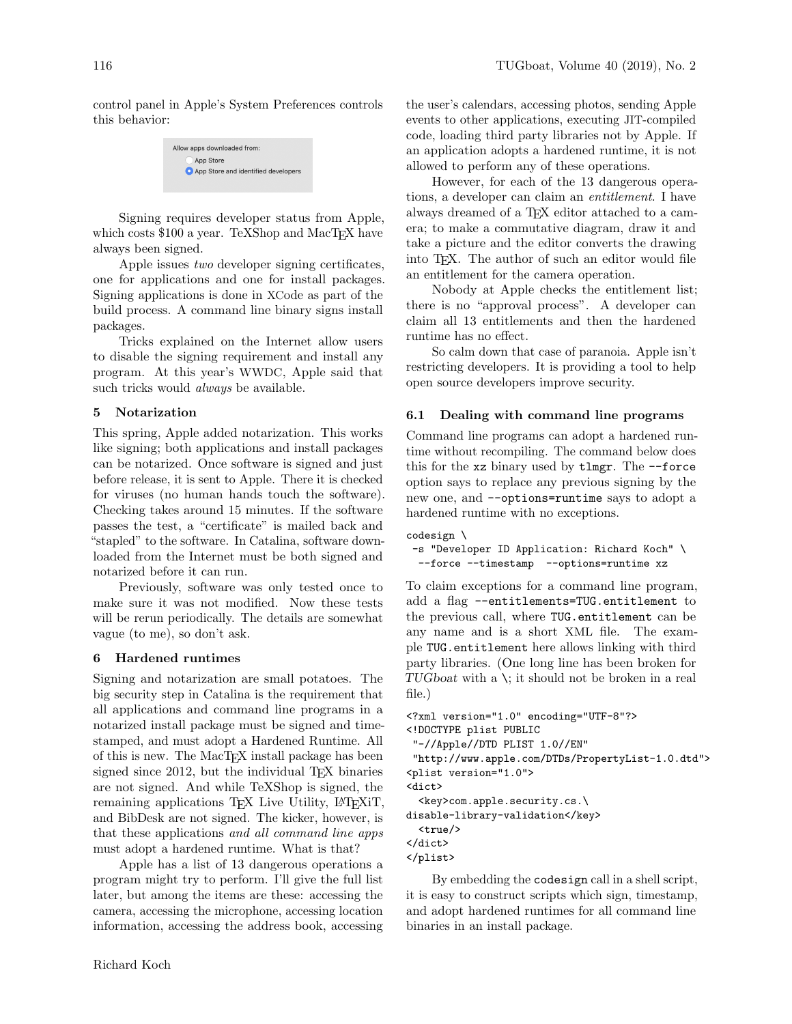control panel in Apple's System Preferences controls this behavior:

> Allow apps downloaded from: App Store App Store and identified developers

Signing requires developer status from Apple, which costs \$100 a year. TeXShop and MacTEX have always been signed.

Apple issues two developer signing certificates, one for applications and one for install packages. Signing applications is done in XCode as part of the build process. A command line binary signs install packages.

Tricks explained on the Internet allow users to disable the signing requirement and install any program. At this year's WWDC, Apple said that such tricks would *always* be available.

## 5 Notarization

This spring, Apple added notarization. This works like signing; both applications and install packages can be notarized. Once software is signed and just before release, it is sent to Apple. There it is checked for viruses (no human hands touch the software). Checking takes around 15 minutes. If the software passes the test, a "certificate" is mailed back and "stapled" to the software. In Catalina, software downloaded from the Internet must be both signed and notarized before it can run.

Previously, software was only tested once to make sure it was not modified. Now these tests will be rerun periodically. The details are somewhat vague (to me), so don't ask.

#### 6 Hardened runtimes

Signing and notarization are small potatoes. The big security step in Catalina is the requirement that all applications and command line programs in a notarized install package must be signed and timestamped, and must adopt a Hardened Runtime. All of this is new. The MacTEX install package has been signed since 2012, but the individual T<sub>EX</sub> binaries are not signed. And while TeXShop is signed, the remaining applications TEX Live Utility, LATEXIT, and BibDesk are not signed. The kicker, however, is that these applications and all command line apps must adopt a hardened runtime. What is that?

Apple has a list of 13 dangerous operations a program might try to perform. I'll give the full list later, but among the items are these: accessing the camera, accessing the microphone, accessing location information, accessing the address book, accessing

the user's calendars, accessing photos, sending Apple events to other applications, executing JIT-compiled code, loading third party libraries not by Apple. If an application adopts a hardened runtime, it is not allowed to perform any of these operations.

However, for each of the 13 dangerous operations, a developer can claim an entitlement. I have always dreamed of a TEX editor attached to a camera; to make a commutative diagram, draw it and take a picture and the editor converts the drawing into TEX. The author of such an editor would file an entitlement for the camera operation.

Nobody at Apple checks the entitlement list; there is no "approval process". A developer can claim all 13 entitlements and then the hardened runtime has no effect.

So calm down that case of paranoia. Apple isn't restricting developers. It is providing a tool to help open source developers improve security.

#### 6.1 Dealing with command line programs

Command line programs can adopt a hardened runtime without recompiling. The command below does this for the xz binary used by tlmgr. The --force option says to replace any previous signing by the new one, and --options=runtime says to adopt a hardened runtime with no exceptions.

```
codesign \
-s "Developer ID Application: Richard Koch" \
 --force --timestamp --options=runtime xz
```
To claim exceptions for a command line program, add a flag --entitlements=TUG.entitlement to the previous call, where TUG.entitlement can be any name and is a short XML file. The example TUG.entitlement here allows linking with third party libraries. (One long line has been broken for TUGboat with a \; it should not be broken in a real file.)

```
<?xml version="1.0" encoding="UTF-8"?>
<!DOCTYPE plist PUBLIC
"-//Apple//DTD PLIST 1.0//EN"
"http://www.apple.com/DTDs/PropertyList-1.0.dtd">
<plist version="1.0">
<dict>
  <key>com.apple.security.cs.\
disable-library-validation</key>
 <true/>
</dict>
</plist>
```
By embedding the codesign call in a shell script, it is easy to construct scripts which sign, timestamp, and adopt hardened runtimes for all command line binaries in an install package.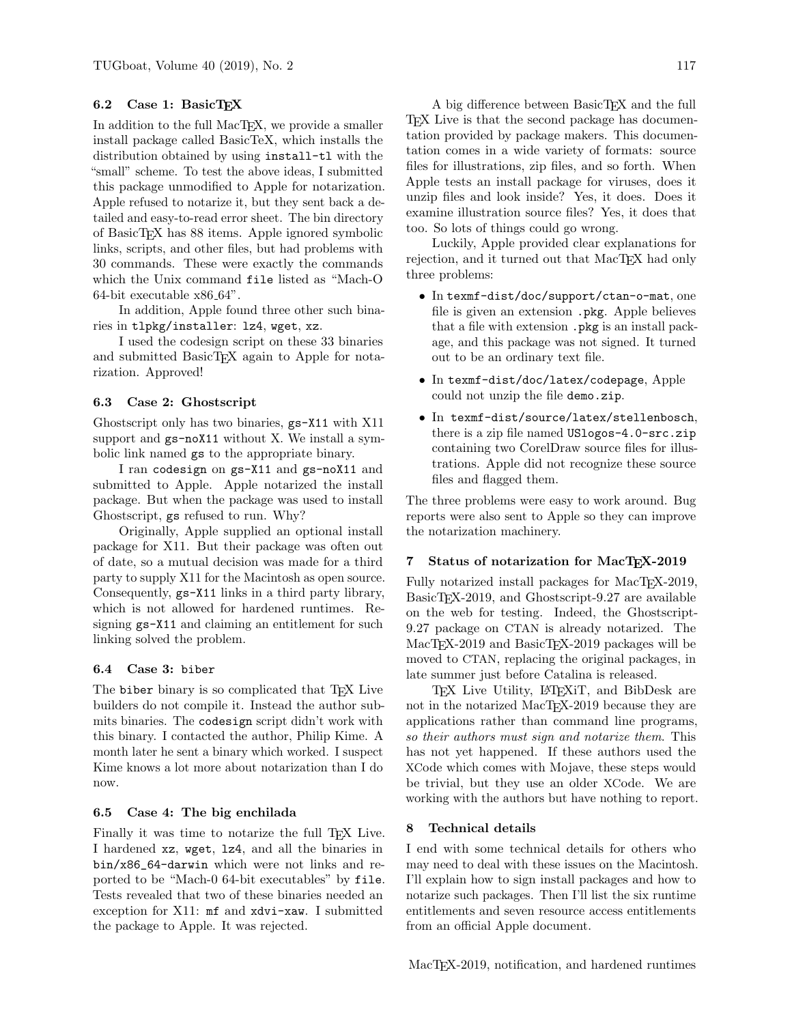## 6.2 Case 1: BasicTEX

In addition to the full MacT<sub>EX</sub>, we provide a smaller install package called BasicTeX, which installs the distribution obtained by using install-tl with the "small" scheme. To test the above ideas, I submitted this package unmodified to Apple for notarization. Apple refused to notarize it, but they sent back a detailed and easy-to-read error sheet. The bin directory of BasicTEX has 88 items. Apple ignored symbolic links, scripts, and other files, but had problems with 30 commands. These were exactly the commands which the Unix command file listed as "Mach-O 64-bit executable x86 64".

In addition, Apple found three other such binaries in tlpkg/installer: lz4, wget, xz.

I used the codesign script on these 33 binaries and submitted BasicTEX again to Apple for notarization. Approved!

#### 6.3 Case 2: Ghostscript

Ghostscript only has two binaries, gs-X11 with X11 support and gs-noX11 without X. We install a symbolic link named gs to the appropriate binary.

I ran codesign on gs-X11 and gs-noX11 and submitted to Apple. Apple notarized the install package. But when the package was used to install Ghostscript, gs refused to run. Why?

Originally, Apple supplied an optional install package for X11. But their package was often out of date, so a mutual decision was made for a third party to supply X11 for the Macintosh as open source. Consequently, gs-X11 links in a third party library, which is not allowed for hardened runtimes. Resigning gs-X11 and claiming an entitlement for such linking solved the problem.

### 6.4 Case 3: biber

The biber binary is so complicated that TEX Live builders do not compile it. Instead the author submits binaries. The codesign script didn't work with this binary. I contacted the author, Philip Kime. A month later he sent a binary which worked. I suspect Kime knows a lot more about notarization than I do now.

### 6.5 Case 4: The big enchilada

Finally it was time to notarize the full TFX Live. I hardened xz, wget, lz4, and all the binaries in bin/x86\_64-darwin which were not links and reported to be "Mach-0 64-bit executables" by file. Tests revealed that two of these binaries needed an exception for X11: mf and xdvi-xaw. I submitted the package to Apple. It was rejected.

A big difference between BasicT<sub>E</sub>X and the full T<sub>E</sub>X Live is that the second package has documentation provided by package makers. This documentation comes in a wide variety of formats: source files for illustrations, zip files, and so forth. When Apple tests an install package for viruses, does it unzip files and look inside? Yes, it does. Does it examine illustration source files? Yes, it does that too. So lots of things could go wrong.

Luckily, Apple provided clear explanations for rejection, and it turned out that MacT<sub>EX</sub> had only three problems:

- In texmf-dist/doc/support/ctan-o-mat, one file is given an extension .pkg. Apple believes that a file with extension .pkg is an install package, and this package was not signed. It turned out to be an ordinary text file.
- In texmf-dist/doc/latex/codepage, Apple could not unzip the file demo.zip.
- In texmf-dist/source/latex/stellenbosch, there is a zip file named USlogos-4.0-src.zip containing two CorelDraw source files for illustrations. Apple did not recognize these source files and flagged them.

The three problems were easy to work around. Bug reports were also sent to Apple so they can improve the notarization machinery.

## 7 Status of notarization for MacTEX-2019

Fully notarized install packages for MacT<sub>E</sub>X-2019, BasicT<sub>F</sub>X-2019, and Ghostscript-9.27 are available on the web for testing. Indeed, the Ghostscript-9.27 package on CTAN is already notarized. The MacT<sub>E</sub>X-2019 and BasicT<sub>E</sub>X-2019 packages will be moved to CTAN, replacing the original packages, in late summer just before Catalina is released.

TEX Live Utility, LATEXIT, and BibDesk are not in the notarized MacT<sub>EX</sub>-2019 because they are applications rather than command line programs, so their authors must sign and notarize them. This has not yet happened. If these authors used the XCode which comes with Mojave, these steps would be trivial, but they use an older XCode. We are working with the authors but have nothing to report.

#### 8 Technical details

I end with some technical details for others who may need to deal with these issues on the Macintosh. I'll explain how to sign install packages and how to notarize such packages. Then I'll list the six runtime entitlements and seven resource access entitlements from an official Apple document.